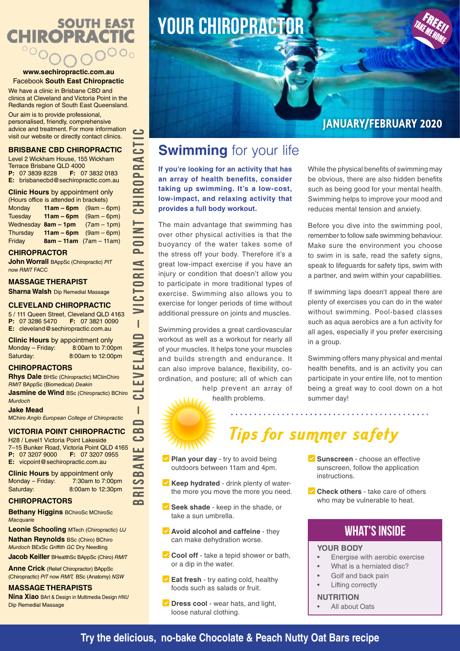# **SOUTH EAST CHIROPRACTIC**

#### **www.sechiropractic.com.au** Facebook **South East Chiropractic**

We have a clinic in Brisbane CBD and clinics at Cleveland and Victoria Point in the Redlands region of South East Queensland.

Our aim is to provide professional, personalised, friendly, comprehensive advice and treatment. For more information visit our website or directly contact clinics.

#### **BRISBANE CBD CHIROPRACTIC**

Level 2 Wickham House, 155 Wickham Terrace Brisbane QLD 4000<br>**P:** 07 3839 8228 **F:** 07 **F:** 07 3832 0183 **E:** brisbanecbd@sechiropractic.com.au **Clinic Hours** by appointment only (Hours office is attended in brackets) Monday **11am – 6pm** (9am – 6pm) Tuesday **11am – 6pm** (9am – 6pm) Wednesday **8am – 1pm** (7am – 1pm) Thursday **11am – 6pm** (9am – 6pm)

Friday **8am – 11am** (7am – 11am)

#### **CHIROPRACTOR**

**John Worrall** BAppSc (Chiropractic) *PIT* now *RMIT* FACC

#### **MASSAGE THERAPIST**

**Sharna Walsh** Dip Remedial Massage

#### **CLEVELAND CHIROPRACTIC**

5 / 111 Queen Street, Cleveland QLD 4163<br>**P:** 07 3286 5470 **F:** 07 3821 0090 **P:** 07 3286 5470 **E:** cleveland@sechiropractic.com.au

**Clinic Hours** by appointment only Monday – Friday: 8:00am to 7:00pm Saturday: 8:00am to 12:00pm

#### **CHIROPRACTORS**

**Rhys Dale** BHSc (Chiropractic) MClinChiro *RMIT* BAppSc (Biomedical) *Deakin*

**Jasmine de Wind BSc (Chiropractic) BChiro** *Murdoch*

#### **Jake Mead**

MChiro *Anglo European College of Chiropractic*

#### **VICTORIA POINT CHIROPRACTIC**

H28 / Level1 Victoria Point Lakeside 7-15 Bunker Road, Victoria Point QLD 4165<br>**P:** 07 3207 9000 **F:** 07 3207 0955 **P:** 07 3207 9000 **E:** vicpoint@sechiropractic.com.au

**Clinic Hours** by appointment only Monday – Friday: 7:30am to 7:00pm Saturday: 8:00am to 12:30pm

#### **CHIROPRACTORS**

**Bethany Higgins** BChiroSc MChiroSc *Macquarie*

**Leonie Schooling** MTech (Chiropractic) *UJ* **Nathan Reynolds** BSc (Chiro) BChiro *Murdoch* BExSc *Griffith GC* Dry Needling

**Jacob Keiller** BHealthSc BAppSc (Chiro) *RMIT*

**Anne Crick** (Relief Chiropractor) BAppSc (Chiropractic) *PIT* now *RMIT,* BSc (Anatomy) *NSW*

#### **MASSAGE THERAPISTS**

**Nina Xiao** BArt & Design in Multimedia Design *HNU* Dip Remedial Massage

# **YOUR chiropractor**



### **JANUARY/FEBRUARY 2020**

### **Swimming** for your life

**If you're looking for an activity that has an array of health benefits, consider taking up swimming. It's a low-cost, low-impact, and relaxing activity that provides a full body workout.**

The main advantage that swimming has over other physical activities is that the buoyancy of the water takes some of the stress off your body. Therefore it's a great low-impact exercise if you have an injury or condition that doesn't allow you to participate in more traditional types of exercise. Swimming also allows you to exercise for longer periods of time without additional pressure on joints and muscles.

Swimming provides a great cardiovascular workout as well as a workout for nearly all of your muscles. It helps tone your muscles and builds strength and endurance. It can also improve balance, flexibility, coordination, and posture; all of which can help prevent an array of

health problems.



**BRISBANE CBD – CLEVELAND – VICTORIA POINT CHIROPRACTIC**

T  $\blacksquare$  $\overline{\phantom{a}}$ 

ШÚ دے

I

 $\blacksquare$  $\Omega$ دے **LLC**  $\geq$  $\blacktriangleleft$  $\sim$ တ  $\overline{\mathbf{C}}$  $\Omega$ 

.<br>دے

**POINT** 

 $\blacktriangleleft$  $\overline{\phantom{a}}$ 

 $\Box$ 

<u>ت</u> ď **PR**  $\overline{\phantom{0}}$  $\mathbf{C}$ **CHI** 

While the physical benefits of swimming may be obvious, there are also hidden benefits such as being good for your mental health. Swimming helps to improve your mood and reduces mental tension and anxiety.

Before you dive into the swimming pool, remember to follow safe swimming behaviour. Make sure the environment you choose to swim in is safe, read the safety signs, speak to lifeguards for safety tips, swim with a partner, and swim within your capabilities.

If swimming laps doesn't appeal there are plenty of exercises you can do in the water without swimming. Pool-based classes such as aqua aerobics are a fun activity for all ages, especially if you prefer exercising in a group.

Swimming offers many physical and mental health benefits, and is an activity you can participate in your entire life, not to mention being a great way to cool down on a hot summer day!

## Tips for summer safety

- **v** Plan your day try to avoid being outdoors between 11am and 4pm.
- **Keep hydrated** drink plenty of waterthe more you move the more you need.
- Ƶ **Seek shade** keep in the shade, or take a sun umbrella.
- **v** Avoid alcohol and caffeine they can make dehydration worse.
- **☑ Cool off** take a tepid shower or bath, or a dip in the water.
- **Eat fresh** try eating cold, healthy foods such as salads or fruit.
- Ƶ **Dress cool** wear hats, and light, loose natural clothing.

**√ Sunscreen** - choose an effective sunscreen, follow the application instructions.

<u>. . . . . . . . . . .</u>

**v** Check others - take care of others who may be vulnerable to heat.

### WHAT'S INSIDE

#### **YOUR BODY**

- Energise with aerobic exercise
- What is a herniated disc?
- Golf and back pain
- **Lifting correctly**

#### **NUTRITION**

All about Oats

#### **Try the delicious, no-bake Chocolate & Peach Nutty Oat Bars recipe**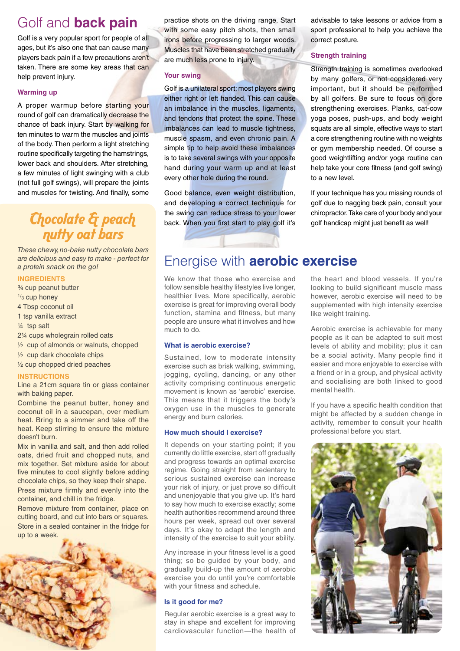### Golf and **back pain**

Golf is a very popular sport for people of all ages, but it's also one that can cause many players back pain if a few precautions aren't taken. There are some key areas that can help prevent injury.

#### **Warming up**

A proper warmup before starting your round of golf can dramatically decrease the chance of back injury. Start by walking for ten minutes to warm the muscles and joints of the body. Then perform a light stretching routine specifically targeting the hamstrings, lower back and shoulders. After stretching, a few minutes of light swinging with a club (not full golf swings), will prepare the joints and muscles for twisting. And finally, some

### Chocolate & peach nutty oat bars

*These chewy, no-bake nutty chocolate bars are delicious and easy to make - perfect for a protein snack on the go!* 

#### **INGREDIENTS**

- ¾ cup peanut butter
- 1/<sub>3</sub> cup honey
- 4 Tbsp coconut oil
- 1 tsp vanilla extract
- ¼ tsp salt
- 2¼ cups wholegrain rolled oats
- ½ cup of almonds or walnuts, chopped
- ½ cup dark chocolate chips
- ½ cup chopped dried peaches

#### **INSTRUCTIONS**

Line a 21cm square tin or glass container with baking paper.

Combine the peanut butter, honey and coconut oil in a saucepan, over medium heat. Bring to a simmer and take off the heat. Keep stirring to ensure the mixture doesn't burn.

Mix in vanilla and salt, and then add rolled oats, dried fruit and chopped nuts, and mix together. Set mixture aside for about five minutes to cool slightly before adding chocolate chips, so they keep their shape. Press mixture firmly and evenly into the container, and chill in the fridge.

Remove mixture from container, place on cutting board, and cut into bars or squares. Store in a sealed container in the fridge for up to a week.



practice shots on the driving range. Start with some easy pitch shots, then small irons before progressing to larger woods. Muscles that have been stretched gradually are much less prone to injury.

#### **Your swing**

Golf is a unilateral sport; most players swing either right or left handed. This can cause an imbalance in the muscles, ligaments, and tendons that protect the spine. These imbalances can lead to muscle tightness, muscle spasm, and even chronic pain. A simple tip to help avoid these imbalances is to take several swings with your opposite hand during your warm up and at least every other hole during the round.

Good balance, even weight distribution, and developing a correct technique for the swing can reduce stress to your lower back. When you first start to play golf it's

advisable to take lessons or advice from a sport professional to help you achieve the correct posture.

#### **Strength training**

Strength training is sometimes overlooked by many golfers, or not considered very important, but it should be performed by all golfers. Be sure to focus on core strengthening exercises. Planks, cat-cow yoga poses, push-ups, and body weight squats are all simple, effective ways to start a core strengthening routine with no weights or gym membership needed. Of course a good weightlifting and/or yoga routine can help take your core fitness (and golf swing) to a new level.

If your technique has you missing rounds of golf due to nagging back pain, consult your chiropractor. Take care of your body and your golf handicap might just benefit as well!

### Energise with **aerobic exercise**

We know that those who exercise and follow sensible healthy lifestyles live longer, healthier lives. More specifically, aerobic exercise is great for improving overall body function, stamina and fitness, but many people are unsure what it involves and how much to do.

#### **What is aerobic exercise?**

Sustained, low to moderate intensity exercise such as brisk walking, swimming, jogging, cycling, dancing, or any other activity comprising continuous energetic movement is known as 'aerobic' exercise. This means that it triggers the body's oxygen use in the muscles to generate energy and burn calories.

#### **How much should I exercise?**

It depends on your starting point; if you currently do little exercise, start off gradually and progress towards an optimal exercise regime. Going straight from sedentary to serious sustained exercise can increase your risk of injury, or just prove so difficult and unenjoyable that you give up. It's hard to say how much to exercise exactly; some health authorities recommend around three hours per week, spread out over several days. It's okay to adapt the length and intensity of the exercise to suit your ability.

Any increase in your fitness level is a good thing; so be guided by your body, and gradually build-up the amount of aerobic exercise you do until you're comfortable with your fitness and schedule.

#### **Is it good for me?**

Regular aerobic exercise is a great way to stay in shape and excellent for improving cardiovascular function—the health of the heart and blood vessels. If you're looking to build significant muscle mass however, aerobic exercise will need to be supplemented with high intensity exercise like weight training.

Aerobic exercise is achievable for many people as it can be adapted to suit most levels of ability and mobility; plus it can be a social activity. Many people find it easier and more enjoyable to exercise with a friend or in a group, and physical activity and socialising are both linked to good mental health.

If you have a specific health condition that might be affected by a sudden change in activity, remember to consult your health professional before you start.

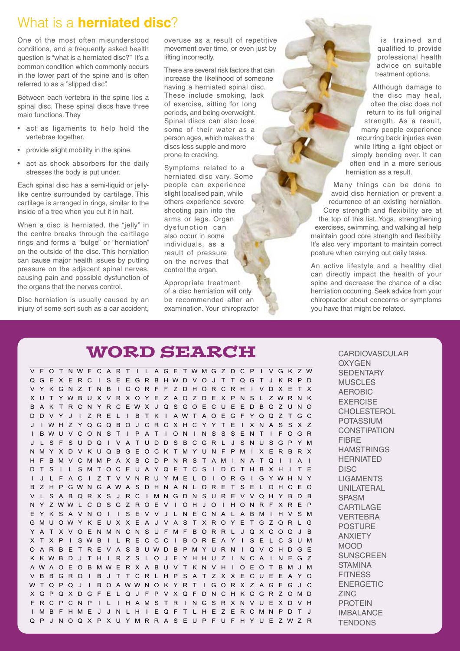### What is a **herniated disc**?

One of the most often misunderstood conditions, and a frequently asked health question is "what is a herniated disc?" It's a common condition which commonly occurs in the lower part of the spine and is often referred to as a ''slipped disc''.

Between each vertebra in the spine lies a spinal disc. These spinal discs have three main functions. They

- act as ligaments to help hold the vertebrae together.
- provide slight mobility in the spine.
- act as shock absorbers for the daily stresses the body is put under.

Each spinal disc has a semi-liquid or jellylike centre surrounded by cartilage. This cartilage is arranged in rings, similar to the inside of a tree when you cut it in half.

When a disc is herniated, the "jelly" in the centre breaks through the cartilage rings and forms a "bulge" or "herniation" on the outside of the disc. This herniation can cause major health issues by putting pressure on the adiacent spinal nerves. causing pain and possible dysfunction of the organs that the nerves control.

Disc herniation is usually caused by an injury of some sort such as a car accident,

overuse as a result of repetitive movement over time, or even just by lifting incorrectly.

There are several risk factors that can increase the likelihood of someone having a herniated spinal disc. These include smoking, lack of exercise, sitting for long periods, and being overweight. Spinal discs can also lose some of their water as a person ages, which makes the discs less supple and more prone to cracking.

Symptoms related to a herniated disc vary. Some people can experience slight localised pain, while others experience severe shooting pain into the arms or legs. Organ dysfunction can also occur in some individuals, as a result of pressure on the nerves that control the organ.

Appropriate treatment of a disc herniation will only be recommended after an examination. Your chiropractor

### WORD SEARCH

V F O T NWF C A R T I L AGE TWMG Z DC P I VGK ZW QG E X E RC I S E EGR B HWD VO J T T QG T J K R P D VYKGNZ TNB I CORF F ZDHORCRH I VDXETX X U T YWBUX VRXOY E Z AO Z D E X PNS L ZWRN K B A K T RCN YRCEWX J QSGOECUE EDBGZ UNO DD V Y J I Z R E L I B T K I AWT AOEG F YQQ Z TGC J I WH Z YQGQBO J CRCXHCY Y T E I XNA S SX Z I BWU V CON S T I P A T I ON I N S S S E N T I FOGR J L SFSUDQ I VATUDDSBCGRL J SNUSGPYM NMYXDVKUQBGEOCKTMYUNFPM I XERBRX H F BMVCMMP A X SCD PNR S T AM I N A T Q I I A I DTS I L SMTOCEUAYQETCS I DCTHBXH I TE I J L F A C I Z T V V NRU YME L D I ORG I GYWHN Y B Z H P GWNG AWA S D H N A N L OR E T S E L OH C E O V L SABQRXS J RC I MNGDNSUREVVQHYBDB N Y Z WW L C D S G Z R O E V I O H J O I H O N R F X R E P EYKSAVNO I I SEVV J LNECNAL ABM I HVSM GMUOWY K E U X X E A J V A S T X RO Y E T G Z QR L G YAT XVOENMNCNSUFMF BORR L J QXCOG J B X T X P I SWB I L R E CCC I BOR E A Y I S E L C S UM O A R B E T R E V A S S UWD B PMY URN I Q V CH DG E K KWBD J T H I R Z S L O J E YHHU Z I NCA I NEG Z AW A O E O B MW E R X A B U V T K N V H I O E O T B M J M VBBGRO I B J T TCRLHPSAT ZXXECUEEAYO W T Q P Q J I B O AWWN O K Y R T I G O R X Z A G F G J C XGPQXDGF E LQ J F PVXQFDNCHKGGRZOMD FRCPCNP I L I HAMSTR I NGSRXNVUEXDVH I MB FHME J J N L H I EQF T L HE Z ERCMNPDT J QP J NOQXPXUYMRRASEUP FUFHYUE ZWZR

is trained and qualified to provide professional health advice on suitable treatment options.

Although damage to the disc may heal, often the disc does not return to its full original strength. As a result, many people experience recurring back injuries even while lifting a light object or simply bending over. It can often end in a more serious herniation as a result.

Many things can be done to avoid disc herniation or prevent a recurrence of an existing herniation. Core strength and flexibility are at the top of this list. Yoga, strengthening exercises, swimming, and walking all help maintain good core strength and flexibility. It's also very important to maintain correct posture when carrying out daily tasks.

An active lifestyle and a healthy diet can directly impact the health of your spine and decrease the chance of a disc herniation occurring. Seek advice from your chiropractor about concerns or symptoms you have that might be related.

> SEDENTARY **MUSCLES** AEROBIC **EXERCISE** CHOLESTEROL POTASSIUM CONSTIPATION **FIBRE** HAMSTRINGS **HERNIATED** DISC<sub>0</sub> LIGAMENTS DISC UNILATERAL SPASM CARTILAGE **VERTEBRA** POSTURE ANXIETY MOOD **SUNSCREEN STAMINA** STAMINA **ENERGETIC** ENER<br>ZINC **EINC<br>PROTEIN**  $\overline{a}$ IMBALANCE TENDONS TENDONS CARDIOVASCULAR **OXYGEN**